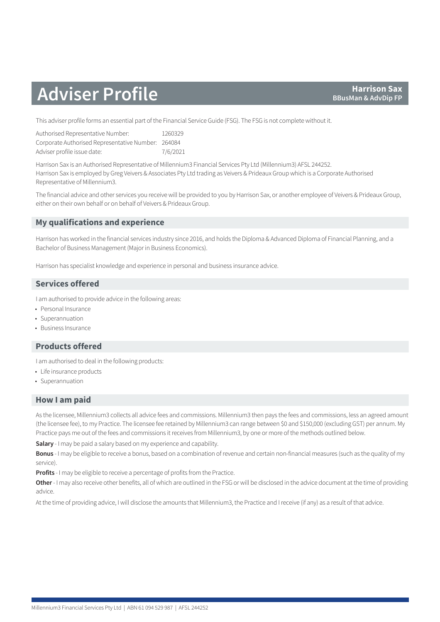# **Adviser Profile BBusMan & Adviser Profile**

This adviser profile forms an essential part of the Financial Service Guide (FSG). The FSG is not complete without it.

| Authorised Representative Number:                  | 1260329  |
|----------------------------------------------------|----------|
| Corporate Authorised Representative Number: 264084 |          |
| Adviser profile issue date:                        | 7/6/2021 |

Harrison Sax is an Authorised Representative of Millennium3 Financial Services Pty Ltd (Millennium3) AFSL 244252. Harrison Sax is employed by Greg Veivers & Associates Pty Ltd trading as Veivers & Prideaux Group which is a Corporate Authorised Representative of Millennium3.

The financial advice and other services you receive will be provided to you by Harrison Sax, or another employee of Veivers & Prideaux Group, either on their own behalf or on behalf of Veivers & Prideaux Group.

# **My qualifications and experience**

Harrison has worked in the financial services industry since 2016, and holds the Diploma & Advanced Diploma of Financial Planning, and a Bachelor of Business Management (Major in Business Economics).

Harrison has specialist knowledge and experience in personal and business insurance advice.

# **Services offered**

I am authorised to provide advice in the following areas:

- Personal Insurance
- Superannuation
- Business Insurance

# **Products offered**

I am authorised to deal in the following products:

- Life insurance products
- Superannuation

### **How I am paid**

As the licensee, Millennium3 collects all advice fees and commissions. Millennium3 then pays the fees and commissions, less an agreed amount (the licensee fee), to my Practice. The licensee fee retained by Millennium3 can range between \$0 and \$150,000 (excluding GST) per annum. My Practice pays me out of the fees and commissions it receives from Millennium3, by one or more of the methods outlined below.

**Salary** - I may be paid a salary based on my experience and capability.

**Bonus** - I may be eligible to receive a bonus, based on a combination of revenue and certain non-financial measures (such as the quality of my service).

**Profits** - I may be eligible to receive a percentage of profits from the Practice.

**Other** - I may also receive other benefits, all of which are outlined in the FSG or will be disclosed in the advice document at the time of providing advice.

At the time of providing advice, I will disclose the amounts that Millennium3, the Practice and I receive (if any) as a result of that advice.